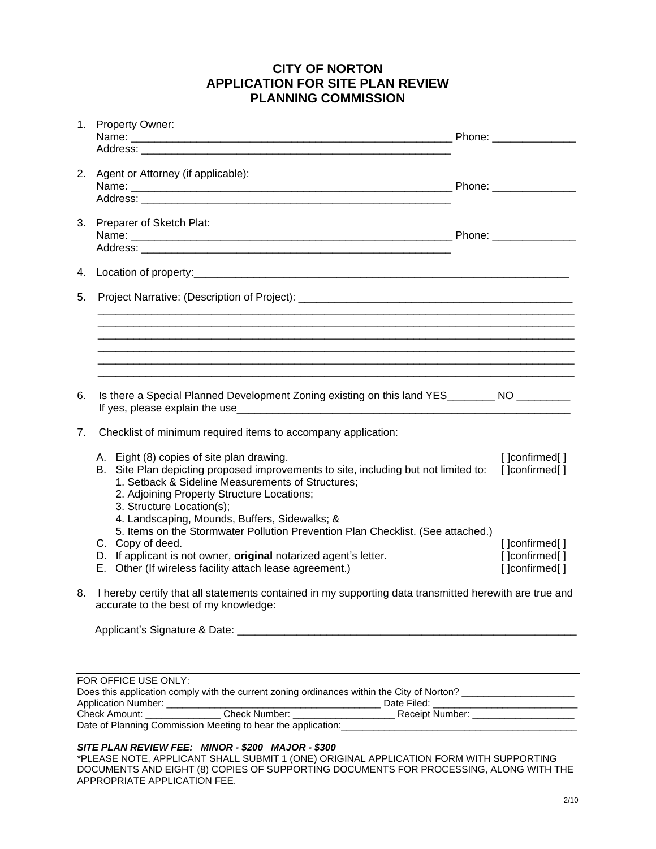## **CITY OF NORTON APPLICATION FOR SITE PLAN REVIEW PLANNING COMMISSION**

|    | 1. Property Owner:                                                                                                                                                                                                                                               |  |                                   |  |  |
|----|------------------------------------------------------------------------------------------------------------------------------------------------------------------------------------------------------------------------------------------------------------------|--|-----------------------------------|--|--|
|    |                                                                                                                                                                                                                                                                  |  |                                   |  |  |
|    | 2. Agent or Attorney (if applicable):                                                                                                                                                                                                                            |  |                                   |  |  |
|    |                                                                                                                                                                                                                                                                  |  |                                   |  |  |
|    | 3. Preparer of Sketch Plat:                                                                                                                                                                                                                                      |  |                                   |  |  |
|    |                                                                                                                                                                                                                                                                  |  |                                   |  |  |
|    |                                                                                                                                                                                                                                                                  |  |                                   |  |  |
| 5. |                                                                                                                                                                                                                                                                  |  |                                   |  |  |
|    |                                                                                                                                                                                                                                                                  |  |                                   |  |  |
|    |                                                                                                                                                                                                                                                                  |  |                                   |  |  |
|    |                                                                                                                                                                                                                                                                  |  |                                   |  |  |
| 6. | Is there a Special Planned Development Zoning existing on this land YES________ NO ________                                                                                                                                                                      |  |                                   |  |  |
| 7. | Checklist of minimum required items to accompany application:                                                                                                                                                                                                    |  |                                   |  |  |
|    | A. Eight (8) copies of site plan drawing.<br>B. Site Plan depicting proposed improvements to site, including but not limited to:<br>1. Setback & Sideline Measurements of Structures;<br>2. Adjoining Property Structure Locations;<br>3. Structure Location(s); |  | [] confirmed[]<br>[ ]confirmed[ ] |  |  |
|    | 4. Landscaping, Mounds, Buffers, Sidewalks; &<br>5. Items on the Stormwater Pollution Prevention Plan Checklist. (See attached.)                                                                                                                                 |  |                                   |  |  |
|    | C. Copy of deed.<br>D. If applicant is not owner, original notarized agent's letter.                                                                                                                                                                             |  | []confirmed[]<br>[ ]confirmed[ ]  |  |  |
|    | E. Other (If wireless facility attach lease agreement.)                                                                                                                                                                                                          |  | [ ]confirmed[ ]                   |  |  |
| 8. | I hereby certify that all statements contained in my supporting data transmitted herewith are true and<br>accurate to the best of my knowledge:                                                                                                                  |  |                                   |  |  |
|    |                                                                                                                                                                                                                                                                  |  |                                   |  |  |
|    |                                                                                                                                                                                                                                                                  |  |                                   |  |  |
|    |                                                                                                                                                                                                                                                                  |  |                                   |  |  |

| FOR OFFICE USE ONLY:                                                                       |               |                        |  |  |  |  |
|--------------------------------------------------------------------------------------------|---------------|------------------------|--|--|--|--|
| Does this application comply with the current zoning ordinances within the City of Norton? |               |                        |  |  |  |  |
| <b>Application Number:</b>                                                                 |               | Date Filed:            |  |  |  |  |
| Check Amount:                                                                              | Check Number: | <b>Receipt Number:</b> |  |  |  |  |
| Date of Planning Commission Meeting to hear the application:                               |               |                        |  |  |  |  |

## *SITE PLAN REVIEW FEE: MINOR - \$200 MAJOR - \$300*

\*PLEASE NOTE, APPLICANT SHALL SUBMIT 1 (ONE) ORIGINAL APPLICATION FORM WITH SUPPORTING DOCUMENTS AND EIGHT (8) COPIES OF SUPPORTING DOCUMENTS FOR PROCESSING, ALONG WITH THE APPROPRIATE APPLICATION FEE.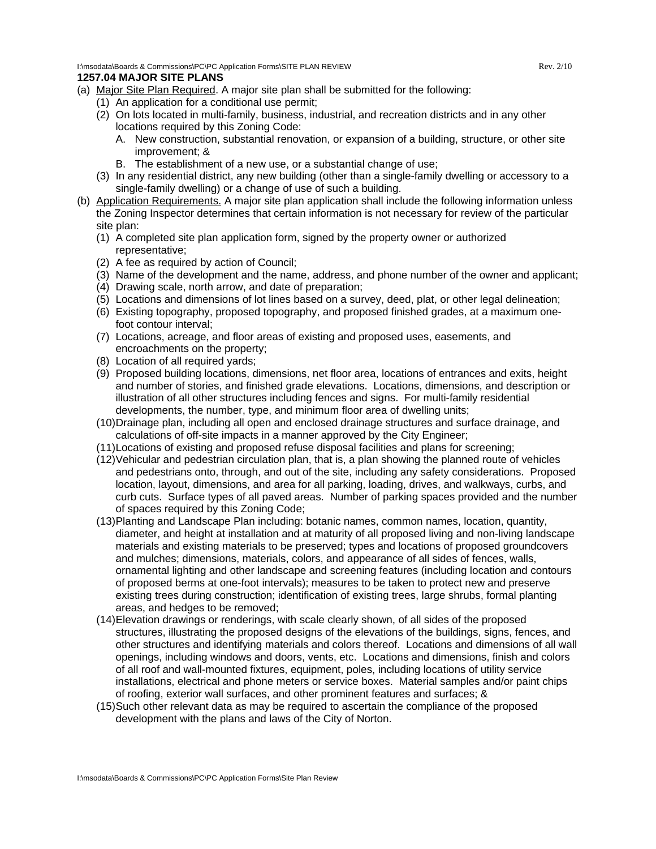I:\msodata\Boards & Commissions\PC\PC Application Forms\SITE PLAN REVIEW Rev. 2/10

## **1257.04 MAJOR SITE PLANS**

- (a) Major Site Plan Required. A major site plan shall be submitted for the following:
	- (1) An application for a conditional use permit;
	- (2) On lots located in multi-family, business, industrial, and recreation districts and in any other locations required by this Zoning Code:
		- A. New construction, substantial renovation, or expansion of a building, structure, or other site improvement; &
		- B. The establishment of a new use, or a substantial change of use;
	- (3) In any residential district, any new building (other than a single-family dwelling or accessory to a single-family dwelling) or a change of use of such a building.
- (b) Application Requirements. A major site plan application shall include the following information unless the Zoning Inspector determines that certain information is not necessary for review of the particular site plan:
	- (1) A completed site plan application form, signed by the property owner or authorized representative;
	- (2) A fee as required by action of Council;
	- (3) Name of the development and the name, address, and phone number of the owner and applicant;
	- (4) Drawing scale, north arrow, and date of preparation;
	- (5) Locations and dimensions of lot lines based on a survey, deed, plat, or other legal delineation;
	- (6) Existing topography, proposed topography, and proposed finished grades, at a maximum onefoot contour interval;
	- (7) Locations, acreage, and floor areas of existing and proposed uses, easements, and encroachments on the property;
	- (8) Location of all required yards;
	- (9) Proposed building locations, dimensions, net floor area, locations of entrances and exits, height and number of stories, and finished grade elevations. Locations, dimensions, and description or illustration of all other structures including fences and signs. For multi-family residential developments, the number, type, and minimum floor area of dwelling units;
	- (10)Drainage plan, including all open and enclosed drainage structures and surface drainage, and calculations of off-site impacts in a manner approved by the City Engineer;
	- (11)Locations of existing and proposed refuse disposal facilities and plans for screening;
	- (12)Vehicular and pedestrian circulation plan, that is, a plan showing the planned route of vehicles and pedestrians onto, through, and out of the site, including any safety considerations. Proposed location, layout, dimensions, and area for all parking, loading, drives, and walkways, curbs, and curb cuts. Surface types of all paved areas. Number of parking spaces provided and the number of spaces required by this Zoning Code;
	- (13)Planting and Landscape Plan including: botanic names, common names, location, quantity, diameter, and height at installation and at maturity of all proposed living and non-living landscape materials and existing materials to be preserved; types and locations of proposed groundcovers and mulches; dimensions, materials, colors, and appearance of all sides of fences, walls, ornamental lighting and other landscape and screening features (including location and contours of proposed berms at one-foot intervals); measures to be taken to protect new and preserve existing trees during construction; identification of existing trees, large shrubs, formal planting areas, and hedges to be removed;
	- (14)Elevation drawings or renderings, with scale clearly shown, of all sides of the proposed structures, illustrating the proposed designs of the elevations of the buildings, signs, fences, and other structures and identifying materials and colors thereof. Locations and dimensions of all wall openings, including windows and doors, vents, etc. Locations and dimensions, finish and colors of all roof and wall-mounted fixtures, equipment, poles, including locations of utility service installations, electrical and phone meters or service boxes. Material samples and/or paint chips of roofing, exterior wall surfaces, and other prominent features and surfaces; &
	- (15)Such other relevant data as may be required to ascertain the compliance of the proposed development with the plans and laws of the City of Norton.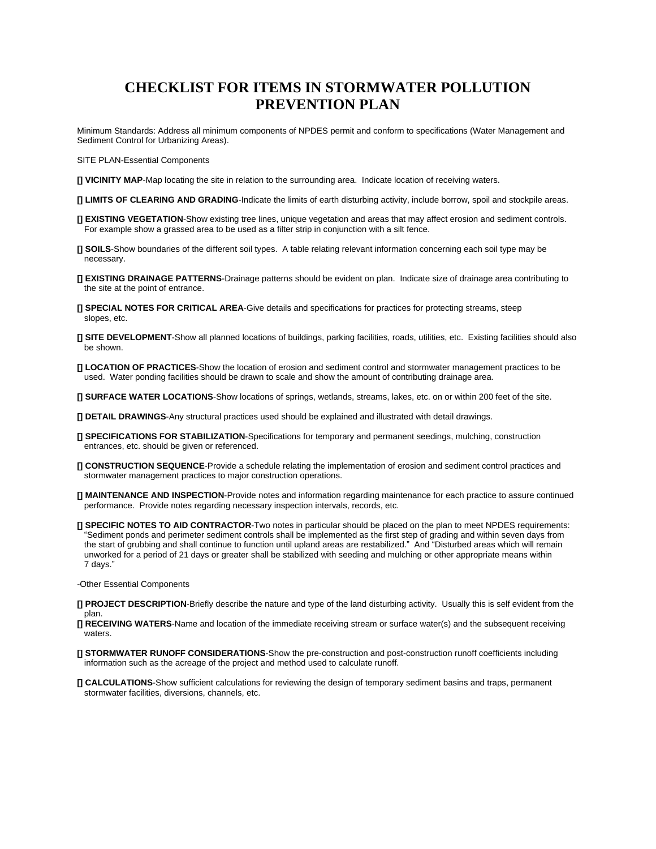# **CHECKLIST FOR ITEMS IN STORMWATER POLLUTION PREVENTION PLAN**

Minimum Standards: Address all minimum components of NPDES permit and conform to specifications (Water Management and Sediment Control for Urbanizing Areas).

SITE PLAN-Essential Components

- **[] VICINITY MAP**-Map locating the site in relation to the surrounding area. Indicate location of receiving waters.
- **[] LIMITS OF CLEARING AND GRADING**-Indicate the limits of earth disturbing activity, include borrow, spoil and stockpile areas.
- **[] EXISTING VEGETATION**-Show existing tree lines, unique vegetation and areas that may affect erosion and sediment controls. For example show a grassed area to be used as a filter strip in conjunction with a silt fence.
- **[] SOILS**-Show boundaries of the different soil types. A table relating relevant information concerning each soil type may be necessary.
- **[] EXISTING DRAINAGE PATTERNS**-Drainage patterns should be evident on plan. Indicate size of drainage area contributing to the site at the point of entrance.
- **[] SPECIAL NOTES FOR CRITICAL AREA**-Give details and specifications for practices for protecting streams, steep slopes, etc.
- **[] SITE DEVELOPMENT**-Show all planned locations of buildings, parking facilities, roads, utilities, etc. Existing facilities should also be shown.
- **[] LOCATION OF PRACTICES**-Show the location of erosion and sediment control and stormwater management practices to be used. Water ponding facilities should be drawn to scale and show the amount of contributing drainage area.
- **[] SURFACE WATER LOCATIONS**-Show locations of springs, wetlands, streams, lakes, etc. on or within 200 feet of the site.
- **[] DETAIL DRAWINGS**-Any structural practices used should be explained and illustrated with detail drawings.
- **[] SPECIFICATIONS FOR STABILIZATION**-Specifications for temporary and permanent seedings, mulching, construction entrances, etc. should be given or referenced.
- **[] CONSTRUCTION SEQUENCE**-Provide a schedule relating the implementation of erosion and sediment control practices and stormwater management practices to major construction operations.
- **[] MAINTENANCE AND INSPECTION**-Provide notes and information regarding maintenance for each practice to assure continued performance. Provide notes regarding necessary inspection intervals, records, etc.
- **[] SPECIFIC NOTES TO AID CONTRACTOR**-Two notes in particular should be placed on the plan to meet NPDES requirements: "Sediment ponds and perimeter sediment controls shall be implemented as the first step of grading and within seven days from the start of grubbing and shall continue to function until upland areas are restabilized." And "Disturbed areas which will remain unworked for a period of 21 days or greater shall be stabilized with seeding and mulching or other appropriate means within 7 days."

-Other Essential Components

- **[] PROJECT DESCRIPTION**-Briefly describe the nature and type of the land disturbing activity. Usually this is self evident from the plan.
- **[] RECEIVING WATERS**-Name and location of the immediate receiving stream or surface water(s) and the subsequent receiving waters.
- **[] STORMWATER RUNOFF CONSIDERATIONS**-Show the pre-construction and post-construction runoff coefficients including information such as the acreage of the project and method used to calculate runoff.
- **[] CALCULATIONS**-Show sufficient calculations for reviewing the design of temporary sediment basins and traps, permanent stormwater facilities, diversions, channels, etc.